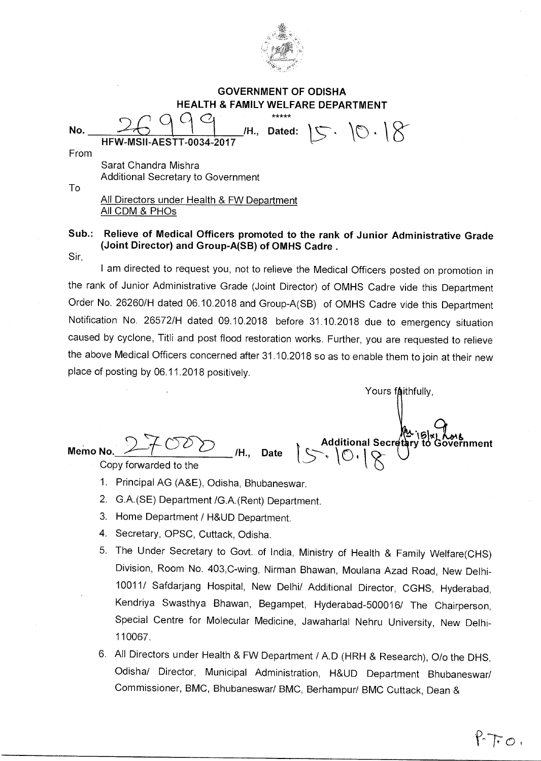

## **GOVERNMENT OF ODISHA HEALTH & FAMILY WELFARE DEPARTMENT**

HFW-MSII-AESTT-0034-2017 Sarat Chandra Mishra Additional Secretary to Government No.  $\frac{1}{\sqrt{2}}$   $\frac{1}{\sqrt{2}}$   $\frac{1}{\sqrt{2}}$   $\frac{1}{\sqrt{2}}$   $\frac{1}{\sqrt{2}}$   $\frac{1}{\sqrt{2}}$   $\frac{1}{\sqrt{2}}$   $\frac{1}{\sqrt{2}}$   $\frac{1}{\sqrt{2}}$   $\frac{1}{\sqrt{2}}$   $\frac{1}{\sqrt{2}}$   $\frac{1}{\sqrt{2}}$   $\frac{1}{\sqrt{2}}$   $\frac{1}{\sqrt{2}}$   $\frac{1}{\sqrt{2}}$   $\frac{1}{\sqrt{2}}$   $\frac{1}{\sqrt{$ From To Dated: **All Directors under Health & FW Department** All CDM & PHOs

## **Sub.: Relieve of Medical Officers promoted to the rank of Junior Administrative Grade (Joint Director) and Group-A(SB) of OMHS Cadre .**

Sir,

I am directed to request you, not to relieve the Medical Officers posted on promotion in the rank of Junior Administrative Grade (Joint Director) of OMHS Cadre vide this Department Order No. 26260/H dated 06.10.2018 and Group-A(SB) of OMHS Cadre vide this Department Notification No. 26572/H dated 09.10.2018 before 31.10.2018 due to emergency situation caused by cyclone, Titli and post flood restoration works. Further, you are requested to relieve the above Medical Officers concerned after 31.10.2018 so as to enable them to join at their new place of posting by 06.11.2018 positively.

Yours faithfully. 1**5) Memo No.**  Additional Secretary to Government **/H., Date ,**  Copy forwarded to the 1. Principal AG (A&E), Odisha, Bhubaneswar.

- 2. G.A.(SE) Department /G.A.(Rent) Department.
- 3. Home Department / H&UD Department.
- 4. Secretary, OPSC, Cuttack, Odisha.
- 5. The Under Secretary to Govt. of India, Ministry of Health & Family Welfare(CHS) Division, Room No. 403,C-wing, Nirman Bhawan, Moulana Azad Road, New Delhi-10011/ Safdarjang Hospital, New Delhi/ Additional Director, CGHS, Hyderabad, Kendriya Swasthya Bhawan, Begampet, Hyderabad-500016/ The Chairperson, Special Centre for Molecular Medicine, Jawaharlal Nehru University, New Delhi-110067.
- 6. All Directors under Health & FW Department / A.D (HRH & Research), 0/o the DHS, Odisha/ Director, Municipal Administration, H&UD Department Bhubaneswar/ Commissioner, BMC, Bhubaneswar/ BMC, Berhampur/ BMC Cuttack, Dean &